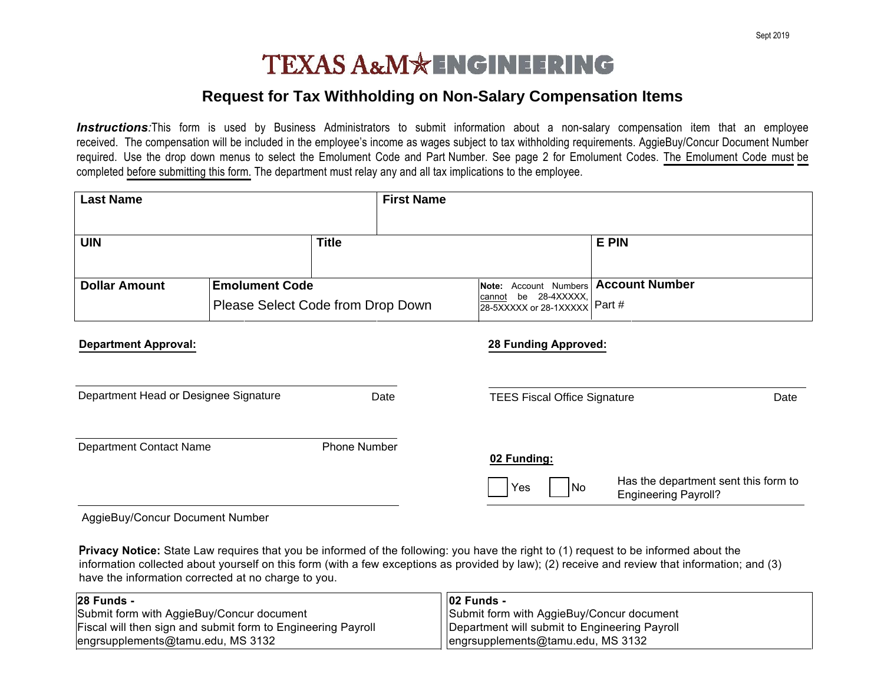## **TEXAS A&M\*ENGINEERING**

## **Request for Tax Withholding on Non-Salary Compensation Items**

**Instructions**:This form is used by Business Administrators to submit information about a non-salary compensation item that an employee received. The compensation will be included in the employee's income as wages subject to tax withholding requirements. AggieBuy/Concur Document Number required. Use the drop down menus to select the Emolument Code and Part Number. See page 2 for Emolument Codes. The Emolument Code must be completed before submitting this form. The department must relay any and all tax implications to the employee.

| <b>Last Name</b>                                                                   |  | <b>First Name</b>                                                          |                                     |                                   |                                      |
|------------------------------------------------------------------------------------|--|----------------------------------------------------------------------------|-------------------------------------|-----------------------------------|--------------------------------------|
| <b>UIN</b>                                                                         |  | <b>Title</b>                                                               |                                     | <b>E PIN</b>                      |                                      |
| <b>Dollar Amount</b><br><b>Emolument Code</b><br>Please Select Code from Drop Down |  | Account Numbers<br>Note:<br>$\frac{cannot}{28-5XXXX}$ be 28-4XXXXX, Part # | <b>Account Number</b>               |                                   |                                      |
| <b>Department Approval:</b>                                                        |  |                                                                            | <b>28 Funding Approved:</b>         |                                   |                                      |
| Department Head or Designee Signature                                              |  | Date                                                                       | <b>TEES Fiscal Office Signature</b> |                                   | Date                                 |
| <b>Department Contact Name</b>                                                     |  | Phone Number                                                               | 02 Funding:<br>Yes                  | No<br><b>Engineering Payroll?</b> | Has the department sent this form to |

AggieBuy/Concur Document Number

P**rivacy Notice:** State Law requires that you be informed of the following: you have the right to (1) request to be informed about the information collected about yourself on this form (with a few exceptions as provided by law); (2) receive and review that information; and (3)<br>hove the information corrected at no charge to you have the information corrected at no charge to you.

| 28 Funds -                                                   | 02 Funds -                                    |
|--------------------------------------------------------------|-----------------------------------------------|
| Submit form with AggieBuy/Concur document                    | Submit form with AggieBuy/Concur document     |
| Fiscal will then sign and submit form to Engineering Payroll | Department will submit to Engineering Payroll |
| engrsupplements@tamu.edu, MS 3132                            | l lengrsupplements@tamu.edu, MS 3132          |